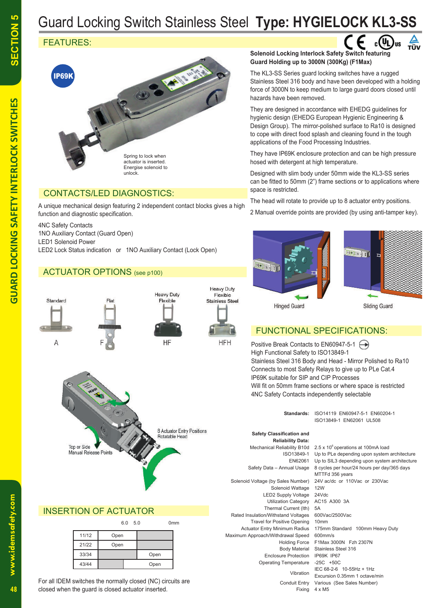# Guard Locking Switch Stainless Steel **Type: HYGIELOCK KL3-SS**

## FEATURES:



### CONTACTS/LED DIAGNOSTICS:

A unique mechanical design featuring 2 independent contact blocks gives a high function and diagnostic specification.

4NC Safety Contacts 1NO Auxiliary Contact (Guard Open) LED1 Solenoid Power LED2 Lock Status indication or 1NO Auxiliary Contact (Lock Open)

#### ACTUATOR OPTIONS (see p100)





**HFH** 

**HF** 



#### INSERTION OF ACTUATOR

|       |      | 6.0<br>5.0 |      | 0 <sub>mm</sub> |
|-------|------|------------|------|-----------------|
| 11/12 | Open |            |      |                 |
| 21/22 | Open |            |      |                 |
| 33/34 |      |            | Open |                 |
| 43/44 |      |            | Open |                 |

For all IDEM switches the normally closed (NC) circuits are closed when the guard is closed actuator inserted.

#### **Solenoid Locking Interlock Safety Switch featuring Guard Holding up to 3000N (300Kg) (F1Max)**

The KL3-SS Series guard locking switches have a rugged Stainless Steel 316 body and have been developed with a holding force of 3000N to keep medium to large guard doors closed until hazards have been removed.

They are designed in accordance with EHEDG guidelines for hygienic design (EHEDG European Hygienic Engineering & Design Group). The mirror-polished surface to Ra10 is designed to cope with direct food splash and cleaning found in the tough applications of the Food Processing Industries.

They have IP69K enclosure protection and can be high pressure hosed with detergent at high temperature.

Designed with slim body under 50mm wide the KL3-SS series can be fitted to 50mm (2") frame sections or to applications where space is restricted.

The head will rotate to provide up to 8 actuator entry positions.

2 Manual override points are provided (by using anti-tamper key).





#### FUNCTIONAL SPECIFICATIONS:

Positive Break Contacts to EN60947-5-1 High Functional Safety to ISO13849-1 Stainless Steel 316 Body and Head - Mirror Polished to Ra10 Connects to most Safety Relays to give up to PLe Cat.4 IP69K suitable for SIP and CIP Processes Will fit on 50mm frame sections or where space is restricted 4NC Safety Contacts independently selectable

**Standards:** ISO14119 EN60947-5-1 EN60204-1 ISO13849-1 EN62061 UL508  **Safety Classification and Reliability Data:** Mechanical Reliability B10d 2.5 x 10<sup>6</sup> operations at 100mA load Solenoid Voltage (by Sales Number) 24V ac/dc or 110Vac or 230Vac Solenoid Wattage 12W LED2 Supply Voltage 24Vdc<br>Utilization Category AC15 A300 3A **Utilization Category** Thermal Current (lth) 5A Rated Insulation/Withstand Voltages 600Vac/2500Vac Travel for Positive Opening 10mm Actuator Entry Minimum Radius 175mm Standard 100mm Heavy Duty Maximum Approach/Withdrawal Speed 600mm/s Body Material Stainless Steel 316 Enclosure Protection IP69K IP67 Operating Temperature -25C +50C

 ISO13849-1 Up to PLe depending upon system architecture EN62061 Up to SIL3 depending upon system architecture Safety Data – Annual Usage 8 cycles per hour/24 hours per day/365 days MTTFd 356 years Holding Force F1Max 3000N Fzh 2307N IEC  $68-2-6$  10-55Hz + 1Hz<br>Vibration Excursion 0.35mm 1 octave/min Conduit Entry Various (See Sales Number) Fixing 4 x M5

48